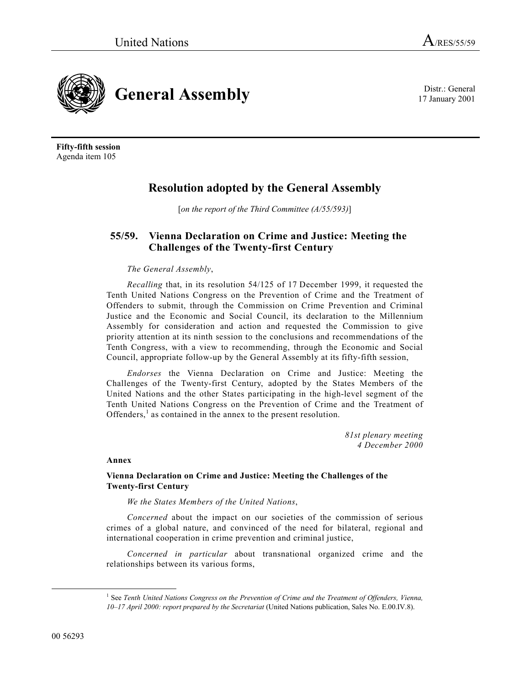17 January 2001



**Fifty-fifth session** Agenda item 105

# **Resolution adopted by the General Assembly**

[*on the report of the Third Committee (A/55/593)*]

## **55/59. Vienna Declaration on Crime and Justice: Meeting the Challenges of the Twenty-first Century**

### *The General Assembly*,

*Recalling* that, in its resolution 54/125 of 17 December 1999, it requested the Tenth United Nations Congress on the Prevention of Crime and the Treatment of Offenders to submit, through the Commission on Crime Prevention and Criminal Justice and the Economic and Social Council, its declaration to the Millennium Assembly for consideration and action and requested the Commission to give priority attention at its ninth session to the conclusions and recommendations of the Tenth Congress, with a view to recommending, through the Economic and Social Council, appropriate follow-up by the General Assembly at its fifty-fifth session,

*Endorses* the Vienna Declaration on Crime and Justice: Meeting the Challenges of the Twenty-first Century, adopted by the States Members of the United Nations and the other States participating in the high-level segment of the Tenth United Nations Congress on the Prevention of Crime and the Treatment of Offenders,<sup>1</sup> as contained in the annex to the present resolution.

> *81st plenary meeting 4 December 2000*

#### **Annex**

### **Vienna Declaration on Crime and Justice: Meeting the Challenges of the Twenty-first Century**

*We the States Members of the United Nations*,

*Concerned* about the impact on our societies of the commission of serious crimes of a global nature, and convinced of the need for bilateral, regional and international cooperation in crime prevention and criminal justice,

*Concerned in particular* about transnational organized crime and the relationships between its various forms,

<sup>&</sup>lt;sup>1</sup> See Tenth United Nations Congress on the Prevention of Crime and the Treatment of Offenders, Vienna, *10–17 April 2000: report prepared by the Secretariat* (United Nations publication, Sales No. E.00.IV.8).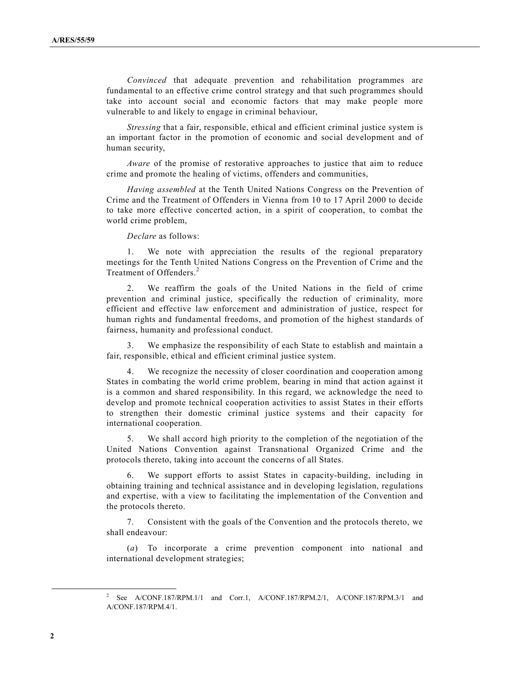*Convinced* that adequate prevention and rehabilitation programmes are fundamental to an effective crime control strategy and that such programmes should take into account social and economic factors that may make people more vulnerable to and likely to engage in criminal behaviour,

*Stressing* that a fair, responsible, ethical and efficient criminal justice system is an important factor in the promotion of economic and social development and of human security,

*Aware* of the promise of restorative approaches to justice that aim to reduce crime and promote the healing of victims, offenders and communities,

*Having assembled* at the Tenth United Nations Congress on the Prevention of Crime and the Treatment of Offenders in Vienna from 10 to 17 April 2000 to decide to take more effective concerted action, in a spirit of cooperation, to combat the world crime problem,

*Declare* as follows:

1. We note with appreciation the results of the regional preparatory meetings for the Tenth United Nations Congress on the Prevention of Crime and the Treatment of Offenders.<sup>2</sup>

We reaffirm the goals of the United Nations in the field of crime prevention and criminal justice, specifically the reduction of criminality, more efficient and effective law enforcement and administration of justice, respect for human rights and fundamental freedoms, and promotion of the highest standards of fairness, humanity and professional conduct.

We emphasize the responsibility of each State to establish and maintain a fair, responsible, ethical and efficient criminal justice system.

4. We recognize the necessity of closer coordination and cooperation among States in combating the world crime problem, bearing in mind that action against it is a common and shared responsibility. In this regard, we acknowledge the need to develop and promote technical cooperation activities to assist States in their efforts to strengthen their domestic criminal justice systems and their capacity for international cooperation.

5. We shall accord high priority to the completion of the negotiation of the United Nations Convention against Transnational Organized Crime and the protocols thereto, taking into account the concerns of all States.

6. We support efforts to assist States in capacity-building, including in obtaining training and technical assistance and in developing legislation, regulations and expertise, with a view to facilitating the implementation of the Convention and the protocols thereto.

7. Consistent with the goals of the Convention and the protocols thereto, we shall endeavour:

(*a*) To incorporate a crime prevention component into national and international development strategies;

<sup>&</sup>lt;sup>2</sup> See A/CONF.187/RPM.1/1 and Corr.1, A/CONF.187/RPM.2/1, A/CONF.187/RPM.3/1 and A/CONF.187/RPM.4/1.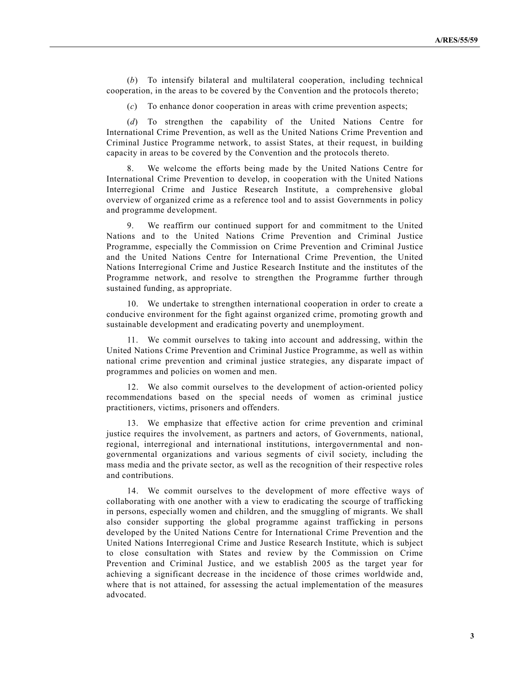(*b*) To intensify bilateral and multilateral cooperation, including technical cooperation, in the areas to be covered by the Convention and the protocols thereto;

(*c*) To enhance donor cooperation in areas with crime prevention aspects;

(*d*) To strengthen the capability of the United Nations Centre for International Crime Prevention, as well as the United Nations Crime Prevention and Criminal Justice Programme network, to assist States, at their request, in building capacity in areas to be covered by the Convention and the protocols thereto.

8. We welcome the efforts being made by the United Nations Centre for International Crime Prevention to develop, in cooperation with the United Nations Interregional Crime and Justice Research Institute, a comprehensive global overview of organized crime as a reference tool and to assist Governments in policy and programme development.

9. We reaffirm our continued support for and commitment to the United Nations and to the United Nations Crime Prevention and Criminal Justice Programme, especially the Commission on Crime Prevention and Criminal Justice and the United Nations Centre for International Crime Prevention, the United Nations Interregional Crime and Justice Research Institute and the institutes of the Programme network, and resolve to strengthen the Programme further through sustained funding, as appropriate.

10. We undertake to strengthen international cooperation in order to create a conducive environment for the fight against organized crime, promoting growth and sustainable development and eradicating poverty and unemployment.

11. We commit ourselves to taking into account and addressing, within the United Nations Crime Prevention and Criminal Justice Programme, as well as within national crime prevention and criminal justice strategies, any disparate impact of programmes and policies on women and men.

12. We also commit ourselves to the development of action-oriented policy recommendations based on the special needs of women as criminal justice practitioners, victims, prisoners and offenders.

13. We emphasize that effective action for crime prevention and criminal justice requires the involvement, as partners and actors, of Governments, national, regional, interregional and international institutions, intergovernmental and nongovernmental organizations and various segments of civil society, including the mass media and the private sector, as well as the recognition of their respective roles and contributions.

14. We commit ourselves to the development of more effective ways of collaborating with one another with a view to eradicating the scourge of trafficking in persons, especially women and children, and the smuggling of migrants. We shall also consider supporting the global programme against trafficking in persons developed by the United Nations Centre for International Crime Prevention and the United Nations Interregional Crime and Justice Research Institute, which is subject to close consultation with States and review by the Commission on Crime Prevention and Criminal Justice, and we establish 2005 as the target year for achieving a significant decrease in the incidence of those crimes worldwide and, where that is not attained, for assessing the actual implementation of the measures advocated.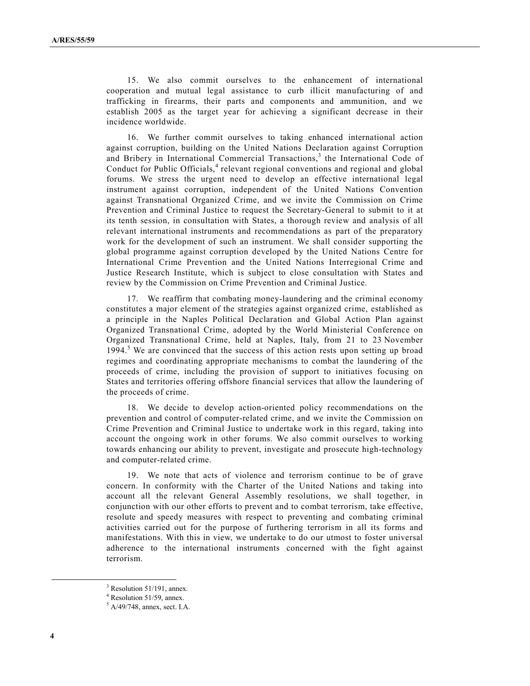15. We also commit ourselves to the enhancement of international cooperation and mutual legal assistance to curb illicit manufacturing of and trafficking in firearms, their parts and components and ammunition, and we establish 2005 as the target year for achieving a significant decrease in their incidence worldwide.

16. We further commit ourselves to taking enhanced international action against corruption, building on the United Nations Declaration against Corruption and Bribery in International Commercial Transactions,<sup>3</sup> the International Code of Conduct for Public Officials,<sup>4</sup> relevant regional conventions and regional and global forums. We stress the urgent need to develop an effective international legal instrument against corruption, independent of the United Nations Convention against Transnational Organized Crime, and we invite the Commission on Crime Prevention and Criminal Justice to request the Secretary-General to submit to it at its tenth session, in consultation with States, a thorough review and analysis of all relevant international instruments and recommendations as part of the preparatory work for the development of such an instrument. We shall consider supporting the global programme against corruption developed by the United Nations Centre for International Crime Prevention and the United Nations Interregional Crime and Justice Research Institute, which is subject to close consultation with States and review by the Commission on Crime Prevention and Criminal Justice.

17. We reaffirm that combating money-laundering and the criminal economy constitutes a major element of the strategies against organized crime, established as a principle in the Naples Political Declaration and Global Action Plan against Organized Transnational Crime, adopted by the World Ministerial Conference on Organized Transnational Crime, held at Naples, Italy, from 21 to 23 November 1994.<sup>5</sup> We are convinced that the success of this action rests upon setting up broad regimes and coordinating appropriate mechanisms to combat the laundering of the proceeds of crime, including the provision of support to initiatives focusing on States and territories offering offshore financial services that allow the laundering of the proceeds of crime.

18. We decide to develop action-oriented policy recommendations on the prevention and control of computer-related crime, and we invite the Commission on Crime Prevention and Criminal Justice to undertake work in this regard, taking into account the ongoing work in other forums. We also commit ourselves to working towards enhancing our ability to prevent, investigate and prosecute high-technology and computer-related crime.

19. We note that acts of violence and terrorism continue to be of grave concern. In conformity with the Charter of the United Nations and taking into account all the relevant General Assembly resolutions, we shall together, in conjunction with our other efforts to prevent and to combat terrorism, take effective, resolute and speedy measures with respect to preventing and combating criminal activities carried out for the purpose of furthering terrorism in all its forms and manifestations. With this in view, we undertake to do our utmost to foster universal adherence to the international instruments concerned with the fight against terrorism.

<sup>&</sup>lt;sup>3</sup> Resolution 51/191, annex.

<sup>4</sup> Resolution 51/59, annex.

 $<sup>5</sup> A/49/748$ , annex, sect. I.A.</sup>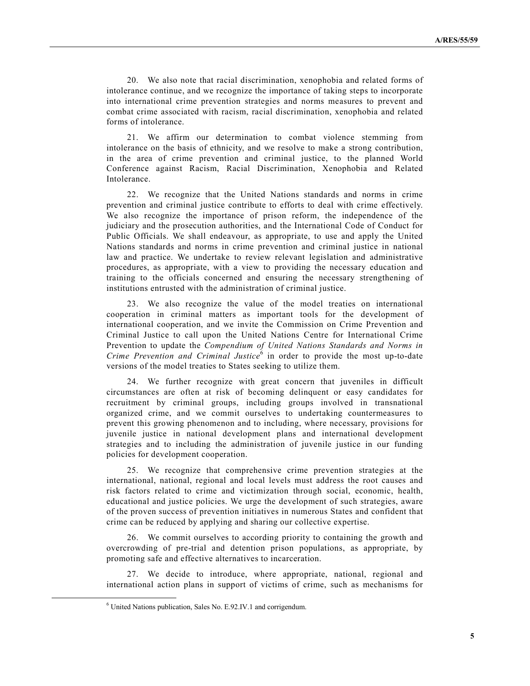20. We also note that racial discrimination, xenophobia and related forms of intolerance continue, and we recognize the importance of taking steps to incorporate into international crime prevention strategies and norms measures to prevent and combat crime associated with racism, racial discrimination, xenophobia and related forms of intolerance.

21. We affirm our determination to combat violence stemming from intolerance on the basis of ethnicity, and we resolve to make a strong contribution, in the area of crime prevention and criminal justice, to the planned World Conference against Racism, Racial Discrimination, Xenophobia and Related Intolerance.

22. We recognize that the United Nations standards and norms in crime prevention and criminal justice contribute to efforts to deal with crime effectively. We also recognize the importance of prison reform, the independence of the judiciary and the prosecution authorities, and the International Code of Conduct for Public Officials. We shall endeavour, as appropriate, to use and apply the United Nations standards and norms in crime prevention and criminal justice in national law and practice. We undertake to review relevant legislation and administrative procedures, as appropriate, with a view to providing the necessary education and training to the officials concerned and ensuring the necessary strengthening of institutions entrusted with the administration of criminal justice.

23. We also recognize the value of the model treaties on international cooperation in criminal matters as important tools for the development of international cooperation, and we invite the Commission on Crime Prevention and Criminal Justice to call upon the United Nations Centre for International Crime Prevention to update the *Compendium of United Nations Standards and Norms in* Crime Prevention and Criminal Justice<sup>6</sup> in order to provide the most up-to-date versions of the model treaties to States seeking to utilize them.

24. We further recognize with great concern that juveniles in difficult circumstances are often at risk of becoming delinquent or easy candidates for recruitment by criminal groups, including groups involved in transnational organized crime, and we commit ourselves to undertaking countermeasures to prevent this growing phenomenon and to including, where necessary, provisions for juvenile justice in national development plans and international development strategies and to including the administration of juvenile justice in our funding policies for development cooperation.

25. We recognize that comprehensive crime prevention strategies at the international, national, regional and local levels must address the root causes and risk factors related to crime and victimization through social, economic, health, educational and justice policies. We urge the development of such strategies, aware of the proven success of prevention initiatives in numerous States and confident that crime can be reduced by applying and sharing our collective expertise.

26. We commit ourselves to according priority to containing the growth and overcrowding of pre-trial and detention prison populations, as appropriate, by promoting safe and effective alternatives to incarceration.

27. We decide to introduce, where appropriate, national, regional and international action plans in support of victims of crime, such as mechanisms for

<sup>6</sup> United Nations publication, Sales No. E.92.IV.1 and corrigendum.